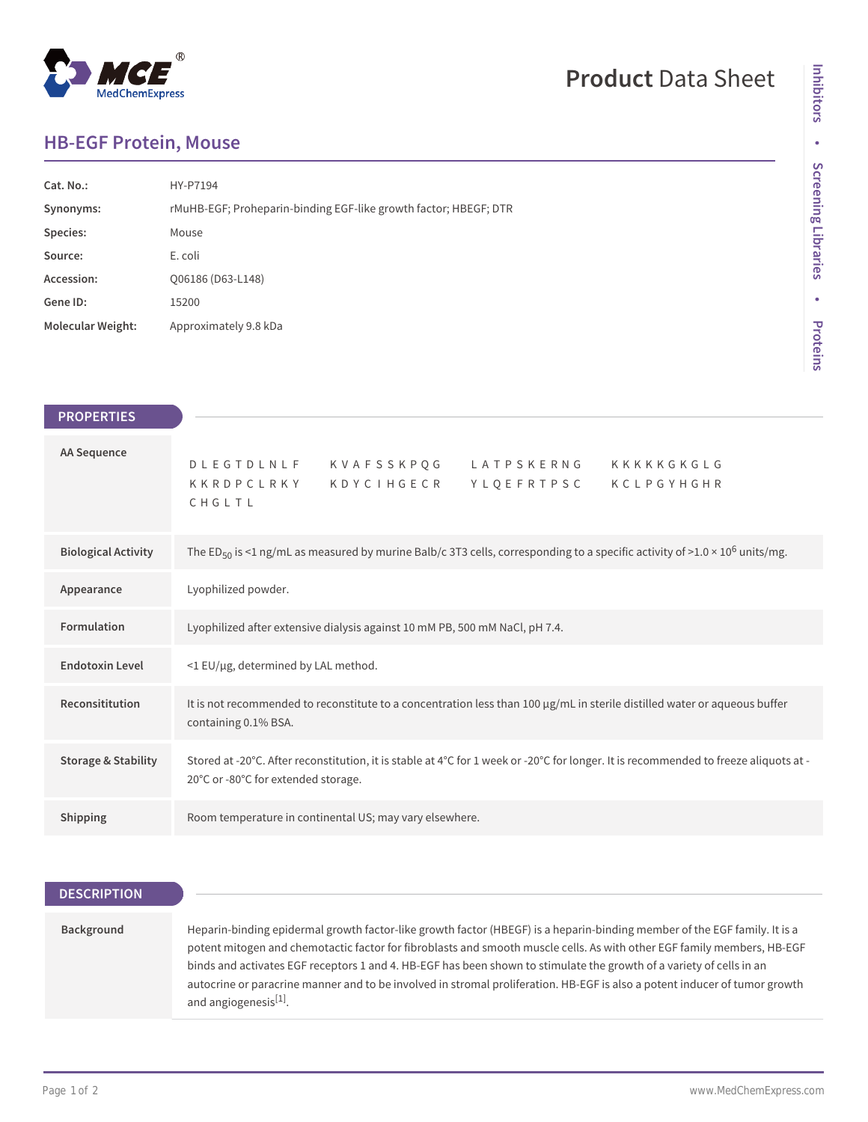# **MedChemExpress**

## **Product** Data Sheet

### **HB-EGF Protein, Mouse**

| $Cat. No.$ :             | HY-P7194                                                         |
|--------------------------|------------------------------------------------------------------|
| Synonyms:                | rMuHB-EGF; Proheparin-binding EGF-like growth factor; HBEGF; DTR |
| Species:                 | Mouse                                                            |
| Source:                  | E. coli                                                          |
| Accession:               | Q06186 (D63-L148)                                                |
| Gene ID:                 | 15200                                                            |
| <b>Molecular Weight:</b> | Approximately 9.8 kDa                                            |

| <b>PROPERTIES</b>              |                                                                                                                                                                             |
|--------------------------------|-----------------------------------------------------------------------------------------------------------------------------------------------------------------------------|
| AA Sequence                    | DLEGTDLNLF KVAFSSKPQG LATPSKERNG KKKKKGKGLG<br>KKRDPCLRKY KDYCIHGECR YLQEFRTPSC KCLPGYHGHR<br>CHGLTL                                                                        |
| <b>Biological Activity</b>     | The ED <sub>50</sub> is <1 ng/mL as measured by murine Balb/c 3T3 cells, corresponding to a specific activity of >1.0 × 10 <sup>6</sup> units/mg.                           |
| Appearance                     | Lyophilized powder.                                                                                                                                                         |
| Formulation                    | Lyophilized after extensive dialysis against 10 mM PB, 500 mM NaCl, pH 7.4.                                                                                                 |
| <b>Endotoxin Level</b>         | <1 EU/µg, determined by LAL method.                                                                                                                                         |
| Reconsititution                | It is not recommended to reconstitute to a concentration less than 100 µg/mL in sterile distilled water or aqueous buffer<br>containing 0.1% BSA.                           |
| <b>Storage &amp; Stability</b> | Stored at -20°C. After reconstitution, it is stable at 4°C for 1 week or -20°C for longer. It is recommended to freeze aliquots at -<br>20°C or -80°C for extended storage. |
| Shipping                       | Room temperature in continental US; may vary elsewhere.                                                                                                                     |
|                                |                                                                                                                                                                             |

#### **DESCRIPTION**

#### **Background** Heparin-binding epidermal growth factor-like growth factor (HBEGF) is a heparin-binding member of the EGF family. It is a potent mitogen and chemotactic factor for fibroblasts and smooth muscle cells. As with other EGF family members, HB-EGF binds and activates EGF receptors 1 and 4. HB-EGF has been shown to stimulate the growth of a variety of cells in an autocrine or paracrine manner and to be involved in stromal proliferation. HB-EGF is also a potent inducer of tumor growth and angiogenesis<sup>[1]</sup>.